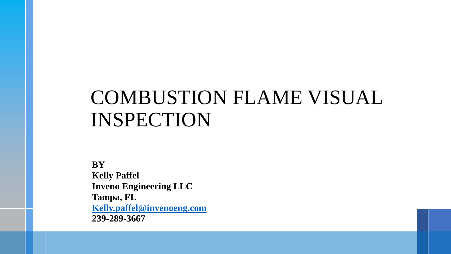# COMBUSTION FLAME VISUAL INSPECTION

**BY Kelly Paffel Inveno Engineering LLC Tampa, FL [Kelly.paffel@invenoeng.com](mailto:Kelly.paffel@invenoeng.com) 239-289-3667**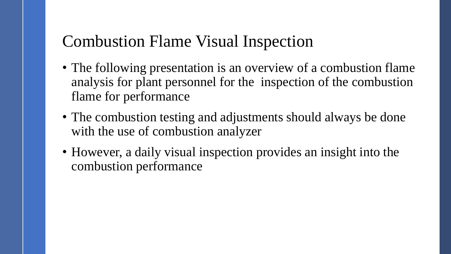### Combustion Flame Visual Inspection

- The following presentation is an overview of a combustion flame analysis for plant personnel for the inspection of the combustion flame for performance
- The combustion testing and adjustments should always be done with the use of combustion analyzer
- However, a daily visual inspection provides an insight into the combustion performance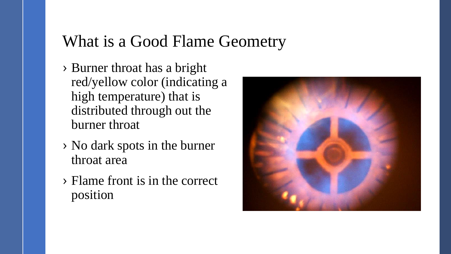#### What is a Good Flame Geometry

- › Burner throat has a bright red/yellow color (indicating a high temperature) that is distributed through out the burner throat
- › No dark spots in the burner throat area
- › Flame front is in the correct position

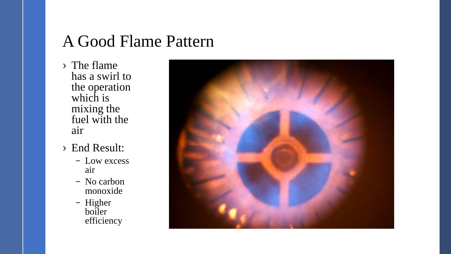#### A Good Flame Pattern

- › The flame has a swirl to the operation which is mixing the fuel with the air
- › End Result:
	- Low excess air
	- No carbon monoxide
	- Higher boiler efficiency

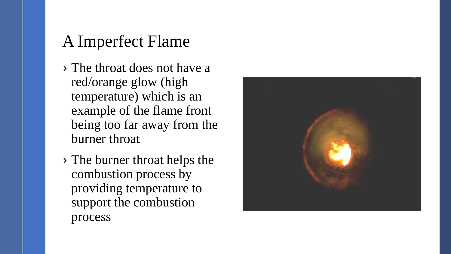# A Imperfect Flame

- › The throat does not have a red/orange glow (high temperature) which is an example of the flame front being too far away from the burner throat
- › The burner throat helps the combustion process by providing temperature to support the combustion process

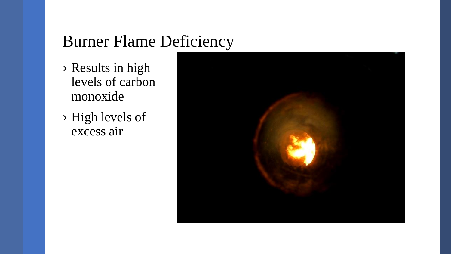#### Burner Flame Deficiency

- › Results in high levels of carbon monoxide
- › High levels of excess air

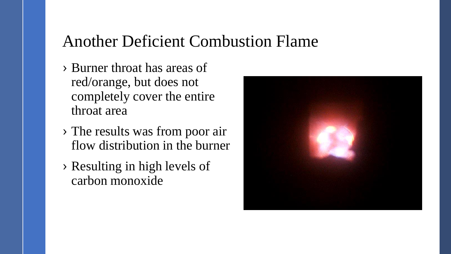#### Another Deficient Combustion Flame

- › Burner throat has areas of red/orange, but does not completely cover the entire throat area
- › The results was from poor air flow distribution in the burner
- › Resulting in high levels of carbon monoxide

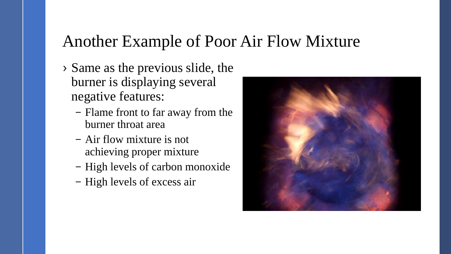#### Another Example of Poor Air Flow Mixture

- › Same as the previous slide, the burner is displaying several negative features:
	- Flame front to far away from the burner throat area
	- Air flow mixture is not achieving proper mixture
	- High levels of carbon monoxide
	- High levels of excess air

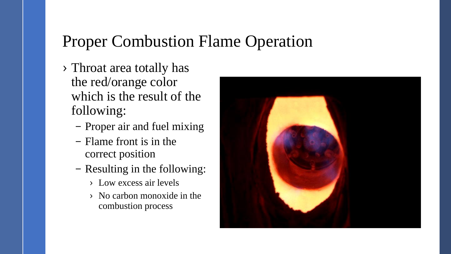#### Proper Combustion Flame Operation

- › Throat area totally has the red/orange color which is the result of the following:
	- Proper air and fuel mixing
	- Flame front is in the correct position
	- Resulting in the following:
		- › Low excess air levels
		- › No carbon monoxide in the combustion process

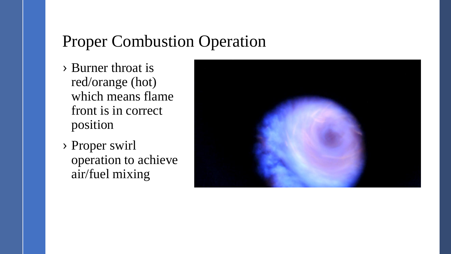### Proper Combustion Operation

- › Burner throat is red/orange (hot) which means flame front is in correct position
- › Proper swirl operation to achieve air/fuel mixing

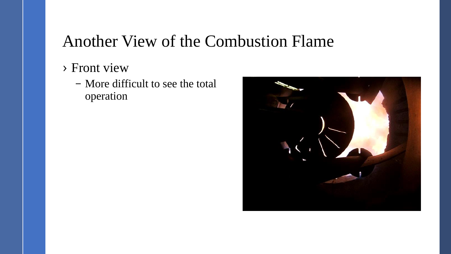### Another View of the Combustion Flame

- › Front view
	- More difficult to see the total operation

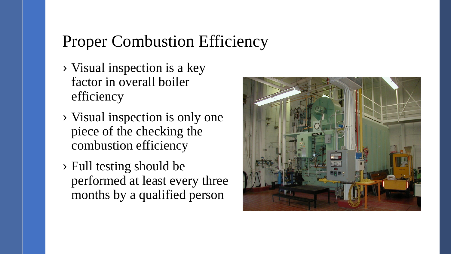# Proper Combustion Efficiency

- › Visual inspection is a key factor in overall boiler efficiency
- › Visual inspection is only one piece of the checking the combustion efficiency
- › Full testing should be performed at least every three months by a qualified person